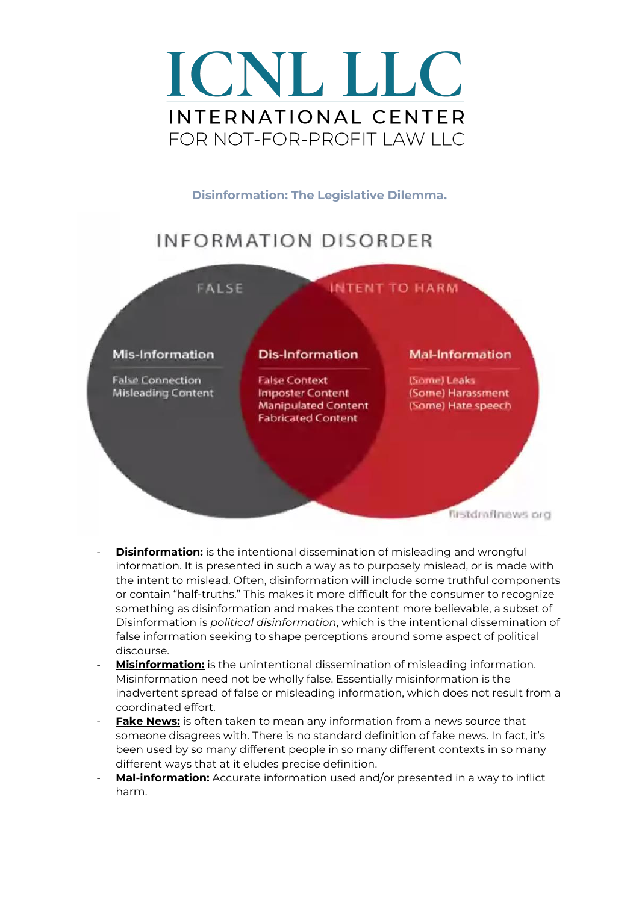

**Disinformation: The Legislative Dilemma.**

### **INFORMATION DISORDER**



- **Disinformation:** is the intentional dissemination of misleading and wrongful information. It is presented in such a way as to purposely mislead, or is made with the intent to mislead. Often, disinformation will include some truthful components or contain "half-truths." This makes it more difficult for the consumer to recognize something as disinformation and makes the content more believable, a subset of Disinformation is *political disinformation*, which is the intentional dissemination of false information seeking to shape perceptions around some aspect of political discourse.
- **Misinformation:** is the unintentional dissemination of misleading information. Misinformation need not be wholly false. Essentially misinformation is the inadvertent spread of false or misleading information, which does not result from a coordinated effort.
- **Fake News:** is often taken to mean any information from a news source that someone disagrees with. There is no standard definition of fake news. In fact, it's been used by so many different people in so many different contexts in so many different ways that at it eludes precise definition.
- Mal-information: Accurate information used and/or presented in a way to inflict harm.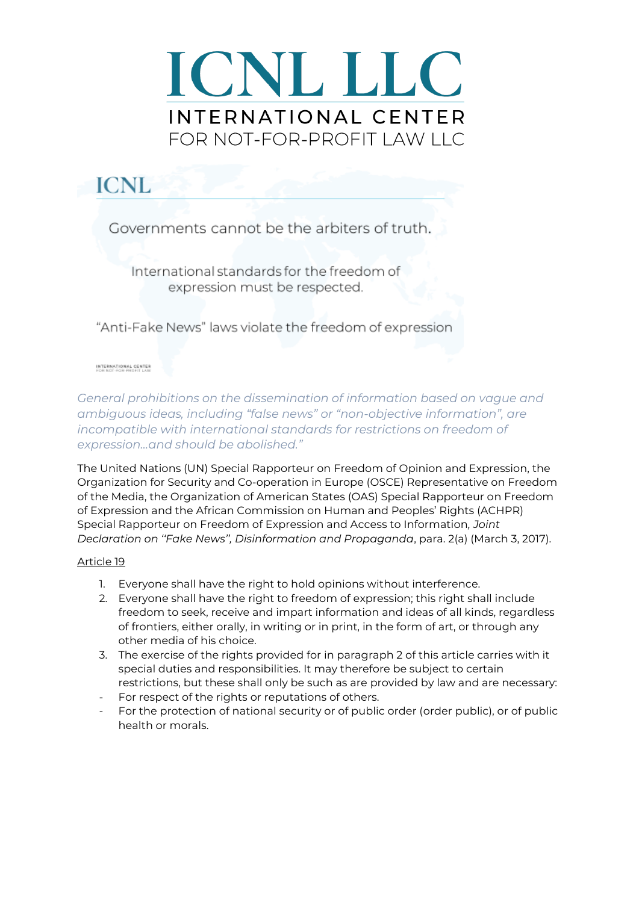

## **ICNL**

Governments cannot be the arbiters of truth.

International standards for the freedom of expression must be respected.

"Anti-Fake News" laws violate the freedom of expression

#### INTERNATIONAL CENTER<br>FOR NOT-FOR-PROFIT LAW

*General prohibitions on the dissemination of information based on vague and ambiguous ideas, including "false news" or "non-objective information", are incompatible with international standards for restrictions on freedom of expression...and should be abolished."* 

The United Nations (UN) Special Rapporteur on Freedom of Opinion and Expression, the Organization for Security and Co-operation in Europe (OSCE) Representative on Freedom of the Media, the Organization of American States (OAS) Special Rapporteur on Freedom of Expression and the African Commission on Human and Peoples' Rights (ACHPR) Special Rapporteur on Freedom of Expression and Access to Information*, Joint Declaration on ''Fake News'', Disinformation and Propaganda*, para. 2(a) (March 3, 2017).

#### Article 19

- 1. Everyone shall have the right to hold opinions without interference.
- 2. Everyone shall have the right to freedom of expression; this right shall include freedom to seek, receive and impart information and ideas of all kinds, regardless of frontiers, either orally, in writing or in print, in the form of art, or through any other media of his choice.
- 3. The exercise of the rights provided for in paragraph 2 of this article carries with it special duties and responsibilities. It may therefore be subject to certain restrictions, but these shall only be such as are provided by law and are necessary:
- For respect of the rights or reputations of others.
- For the protection of national security or of public order (order public), or of public health or morals.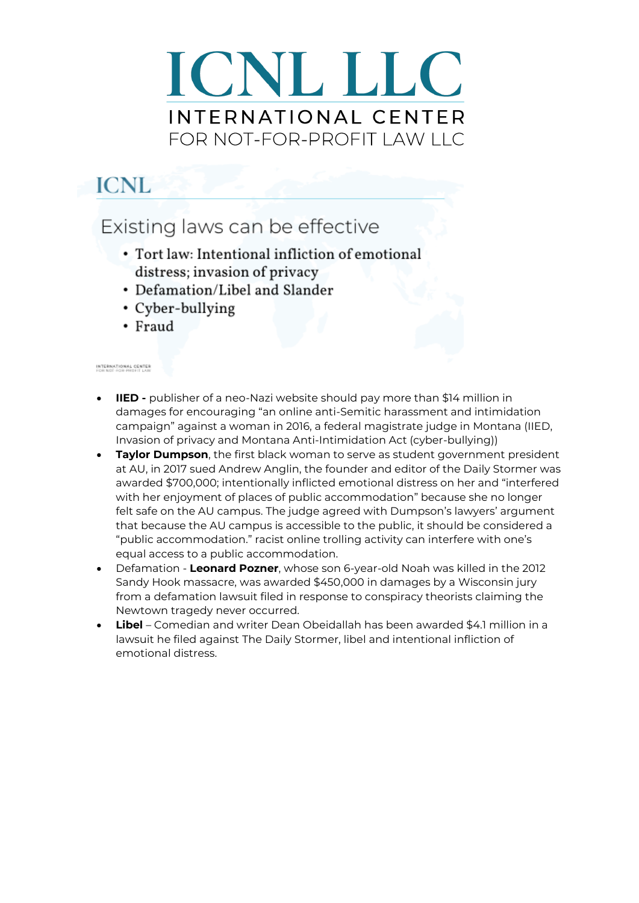## **ICNL**

### Existing laws can be effective

- Tort law: Intentional infliction of emotional distress; invasion of privacy
- Defamation/Libel and Slander
- Cyber-bullying
- Fraud

#### INTERNATIONAL CENTER<br>FOR NOT-FOR-PROFIT LAW

- **IIED -** publisher of a neo-Nazi website should pay more than \$14 million in damages for encouraging "an online anti-Semitic harassment and intimidation campaign" against a woman in 2016, a federal magistrate judge in Montana (IIED, Invasion of privacy and Montana Anti-Intimidation Act (cyber-bullying))
- **Taylor Dumpson**, the first black woman to serve as student government president at AU, in 2017 sued Andrew Anglin, the founder and editor of the Daily Stormer was awarded \$700,000; intentionally inflicted emotional distress on her and "interfered with her enjoyment of places of public accommodation" because she no longer felt safe on the AU campus. The judge agreed with Dumpson's lawyers' argument that because the AU campus is accessible to the public, it should be considered a "public accommodation." racist online trolling activity can interfere with one's equal access to a public accommodation.
- Defamation **Leonard Pozner**, whose son 6-year-old Noah was killed in the 2012 Sandy Hook massacre, was awarded \$450,000 in damages by a Wisconsin jury from a defamation lawsuit filed in response to conspiracy theorists claiming the Newtown tragedy never occurred.
- **Libel**  Comedian and writer Dean Obeidallah has been awarded \$4.1 million in a lawsuit he filed against The Daily Stormer, libel and intentional infliction of emotional distress.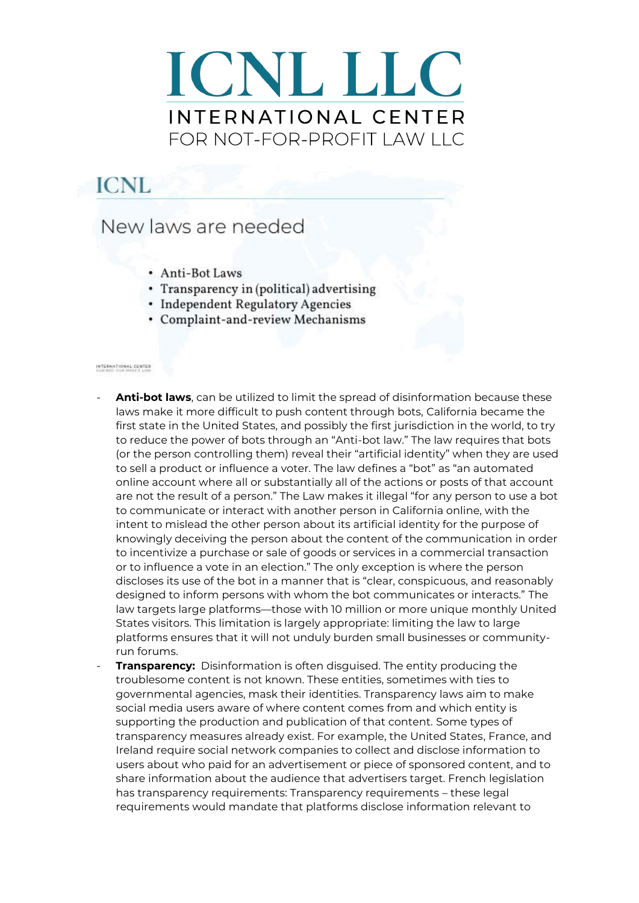## **ICNL**

### New laws are needed

- Anti-Bot Laws
- Transparency in (political) advertising
- Independent Regulatory Agencies
- Complaint-and-review Mechanisms

#### INTERNATIONAL CENTER<br>FOR NOT-FOR PROFIT LAW

- Anti-bot laws, can be utilized to limit the spread of disinformation because these laws make it more difficult to push content through bots, California became the first state in the United States, and possibly the first jurisdiction in the world, to try to reduce the power of bots through an "Anti-bot law." The law requires that bots (or the person controlling them) reveal their "artificial identity" when they are used to sell a product or influence a voter. The law defines a "bot" as "an automated online account where all or substantially all of the actions or posts of that account are not the result of a person." The Law makes it illegal "for any person to use a bot to communicate or interact with another person in California online, with the intent to mislead the other person about its artificial identity for the purpose of knowingly deceiving the person about the content of the communication in order to incentivize a purchase or sale of goods or services in a commercial transaction or to influence a vote in an election." The only exception is where the person discloses its use of the bot in a manner that is "clear, conspicuous, and reasonably designed to inform persons with whom the bot communicates or interacts." The law targets large platforms—those with 10 million or more unique monthly United States visitors. This limitation is largely appropriate: limiting the law to large platforms ensures that it will not unduly burden small businesses or communityrun forums.
- Transparency: Disinformation is often disguised. The entity producing the troublesome content is not known. These entities, sometimes with ties to governmental agencies, mask their identities. Transparency laws aim to make social media users aware of where content comes from and which entity is supporting the production and publication of that content. Some types of transparency measures already exist. For example, the United States, France, and Ireland require social network companies to collect and disclose information to users about who paid for an advertisement or piece of sponsored content, and to share information about the audience that advertisers target. French legislation has transparency requirements: Transparency requirements - these legal requirements would mandate that platforms disclose information relevant to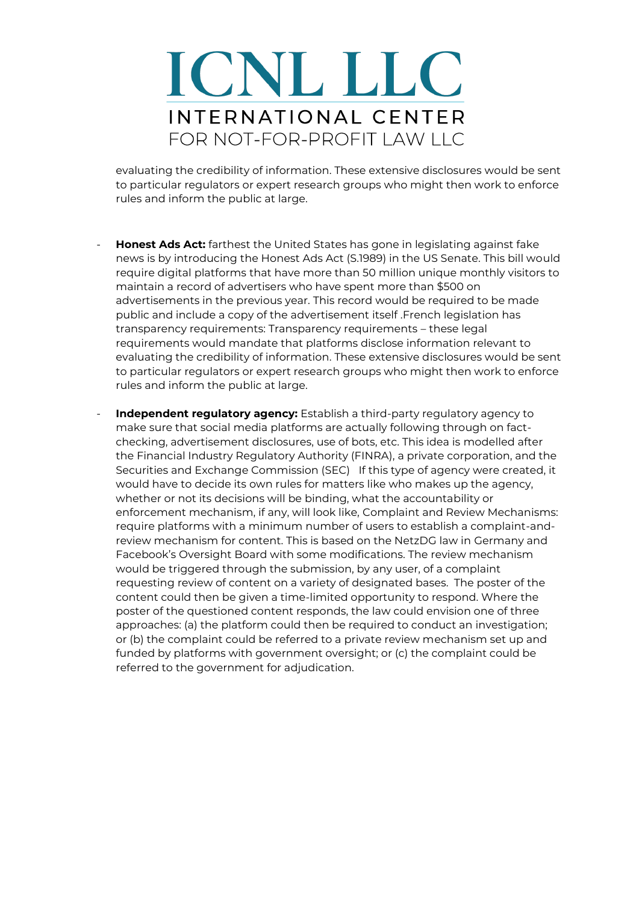evaluating the credibility of information. These extensive disclosures would be sent to particular regulators or expert research groups who might then work to enforce rules and inform the public at large.

- **Honest Ads Act:** farthest the United States has gone in legislating against fake news is by introducing the Honest Ads Act (S.1989) in the US Senate. This bill would require digital platforms that have more than 50 million unique monthly visitors to maintain a record of advertisers who have spent more than \$500 on advertisements in the previous year. This record would be required to be made public and include a copy of the advertisement itself .French legislation has transparency requirements: Transparency requirements – these legal requirements would mandate that platforms disclose information relevant to evaluating the credibility of information. These extensive disclosures would be sent to particular regulators or expert research groups who might then work to enforce rules and inform the public at large.
	- **Independent regulatory agency:** Establish a third-party regulatory agency to make sure that social media platforms are actually following through on factchecking, advertisement disclosures, use of bots, etc. This idea is modelled after the Financial Industry Regulatory Authority (FINRA), a private corporation, and the Securities and Exchange Commission (SEC) If this type of agency were created, it would have to decide its own rules for matters like who makes up the agency, whether or not its decisions will be binding, what the accountability or enforcement mechanism, if any, will look like, Complaint and Review Mechanisms: require platforms with a minimum number of users to establish a complaint-andreview mechanism for content. This is based on the NetzDG law in Germany and Facebook's Oversight Board with some modifications. The review mechanism would be triggered through the submission, by any user, of a complaint requesting review of content on a variety of designated bases. The poster of the content could then be given a time-limited opportunity to respond. Where the poster of the questioned content responds, the law could envision one of three approaches: (a) the platform could then be required to conduct an investigation; or (b) the complaint could be referred to a private review mechanism set up and funded by platforms with government oversight; or (c) the complaint could be referred to the government for adjudication.